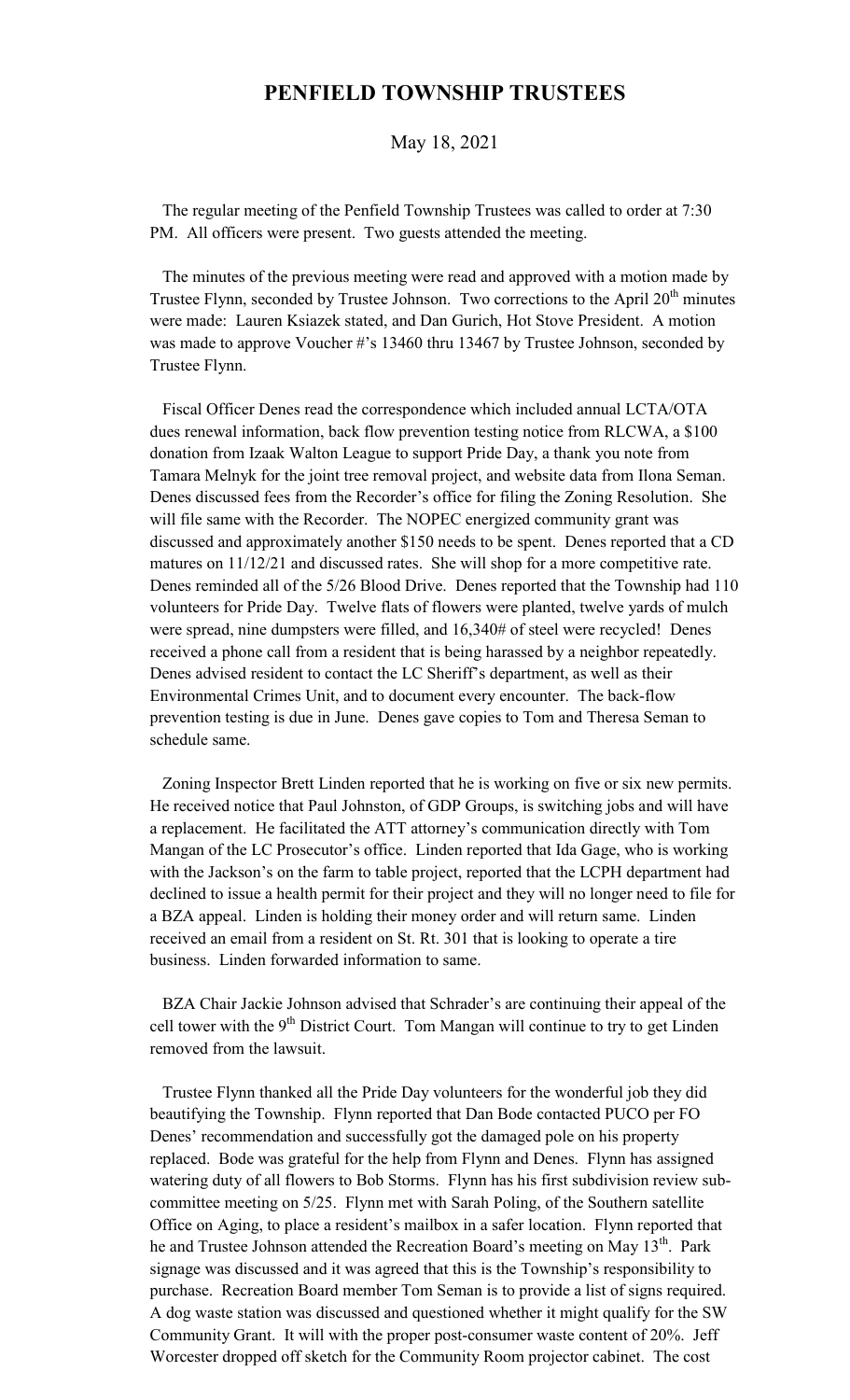## **PENFIELD TOWNSHIP TRUSTEES**

May 18, 2021

 The regular meeting of the Penfield Township Trustees was called to order at 7:30 PM. All officers were present. Two guests attended the meeting.

 The minutes of the previous meeting were read and approved with a motion made by Trustee Flynn, seconded by Trustee Johnson. Two corrections to the April  $20<sup>th</sup>$  minutes were made: Lauren Ksiazek stated, and Dan Gurich, Hot Stove President. A motion was made to approve Voucher #'s 13460 thru 13467 by Trustee Johnson, seconded by Trustee Flynn.

 Fiscal Officer Denes read the correspondence which included annual LCTA/OTA dues renewal information, back flow prevention testing notice from RLCWA, a \$100 donation from Izaak Walton League to support Pride Day, a thank you note from Tamara Melnyk for the joint tree removal project, and website data from Ilona Seman. Denes discussed fees from the Recorder's office for filing the Zoning Resolution. She will file same with the Recorder. The NOPEC energized community grant was discussed and approximately another \$150 needs to be spent. Denes reported that a CD matures on 11/12/21 and discussed rates. She will shop for a more competitive rate. Denes reminded all of the 5/26 Blood Drive. Denes reported that the Township had 110 volunteers for Pride Day. Twelve flats of flowers were planted, twelve yards of mulch were spread, nine dumpsters were filled, and 16,340# of steel were recycled! Denes received a phone call from a resident that is being harassed by a neighbor repeatedly. Denes advised resident to contact the LC Sheriff's department, as well as their Environmental Crimes Unit, and to document every encounter. The back-flow prevention testing is due in June. Denes gave copies to Tom and Theresa Seman to schedule same.

 Zoning Inspector Brett Linden reported that he is working on five or six new permits. He received notice that Paul Johnston, of GDP Groups, is switching jobs and will have a replacement. He facilitated the ATT attorney's communication directly with Tom Mangan of the LC Prosecutor's office. Linden reported that Ida Gage, who is working with the Jackson's on the farm to table project, reported that the LCPH department had declined to issue a health permit for their project and they will no longer need to file for a BZA appeal. Linden is holding their money order and will return same. Linden received an email from a resident on St. Rt. 301 that is looking to operate a tire business. Linden forwarded information to same.

 BZA Chair Jackie Johnson advised that Schrader's are continuing their appeal of the cell tower with the  $9<sup>th</sup>$  District Court. Tom Mangan will continue to try to get Linden removed from the lawsuit.

 Trustee Flynn thanked all the Pride Day volunteers for the wonderful job they did beautifying the Township. Flynn reported that Dan Bode contacted PUCO per FO Denes' recommendation and successfully got the damaged pole on his property replaced. Bode was grateful for the help from Flynn and Denes. Flynn has assigned watering duty of all flowers to Bob Storms. Flynn has his first subdivision review subcommittee meeting on 5/25. Flynn met with Sarah Poling, of the Southern satellite Office on Aging, to place a resident's mailbox in a safer location. Flynn reported that he and Trustee Johnson attended the Recreation Board's meeting on May 13<sup>th</sup>. Park signage was discussed and it was agreed that this is the Township's responsibility to purchase. Recreation Board member Tom Seman is to provide a list of signs required. A dog waste station was discussed and questioned whether it might qualify for the SW Community Grant. It will with the proper post-consumer waste content of 20%. Jeff Worcester dropped off sketch for the Community Room projector cabinet. The cost